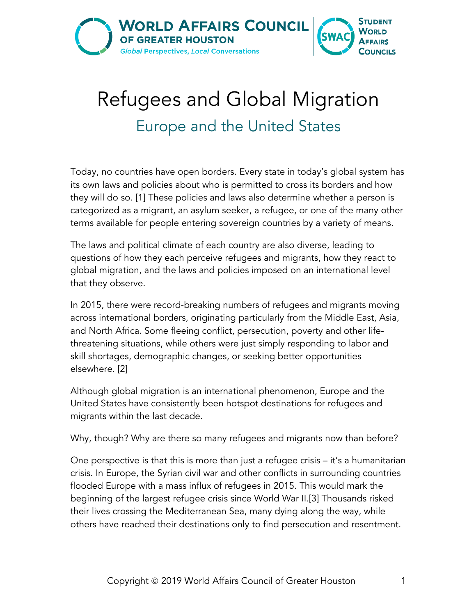

## Refugees and Global Migration Europe and the United States

Today, no countries have open borders. Every state in today's global system has its own laws and policies about who is permitted to cross its borders and how they will do so. [1] These policies and laws also determine whether a person is categorized as a migrant, an asylum seeker, a refugee, or one of the many other terms available for people entering sovereign countries by a variety of means.

The laws and political climate of each country are also diverse, leading to questions of how they each perceive refugees and migrants, how they react to global migration, and the laws and policies imposed on an international level that they observe.

In 2015, there were record-breaking numbers of refugees and migrants moving across international borders, originating particularly from the Middle East, Asia, and North Africa. Some fleeing conflict, persecution, poverty and other lifethreatening situations, while others were just simply responding to labor and skill shortages, demographic changes, or seeking better opportunities elsewhere. [2]

Although global migration is an international phenomenon, Europe and the United States have consistently been hotspot destinations for refugees and migrants within the last decade.

Why, though? Why are there so many refugees and migrants now than before?

One perspective is that this is more than just a refugee crisis – it's a humanitarian crisis. In Europe, the Syrian civil war and other conflicts in surrounding countries flooded Europe with a mass influx of refugees in 2015. This would mark the beginning of the largest refugee crisis since World War II.[3] Thousands risked their lives crossing the Mediterranean Sea, many dying along the way, while others have reached their destinations only to find persecution and resentment.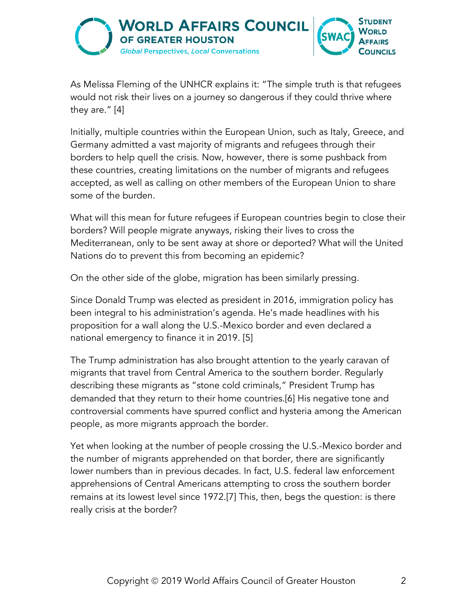

As Melissa Fleming of the UNHCR explains it: "The simple truth is that refugees would not risk their lives on a journey so dangerous if they could thrive where they are." [4]

Initially, multiple countries within the European Union, such as Italy, Greece, and Germany admitted a vast majority of migrants and refugees through their borders to help quell the crisis. Now, however, there is some pushback from these countries, creating limitations on the number of migrants and refugees accepted, as well as calling on other members of the European Union to share some of the burden.

What will this mean for future refugees if European countries begin to close their borders? Will people migrate anyways, risking their lives to cross the Mediterranean, only to be sent away at shore or deported? What will the United Nations do to prevent this from becoming an epidemic?

On the other side of the globe, migration has been similarly pressing.

Since Donald Trump was elected as president in 2016, immigration policy has been integral to his administration's agenda. He's made headlines with his proposition for a wall along the U.S.-Mexico border and even declared a national emergency to finance it in 2019. [5]

The Trump administration has also brought attention to the yearly caravan of migrants that travel from Central America to the southern border. Regularly describing these migrants as "stone cold criminals," President Trump has demanded that they return to their home countries.[6] His negative tone and controversial comments have spurred conflict and hysteria among the American people, as more migrants approach the border.

Yet when looking at the number of people crossing the U.S.-Mexico border and the number of migrants apprehended on that border, there are significantly lower numbers than in previous decades. In fact, U.S. federal law enforcement apprehensions of Central Americans attempting to cross the southern border remains at its lowest level since 1972.[7] This, then, begs the question: is there really crisis at the border?